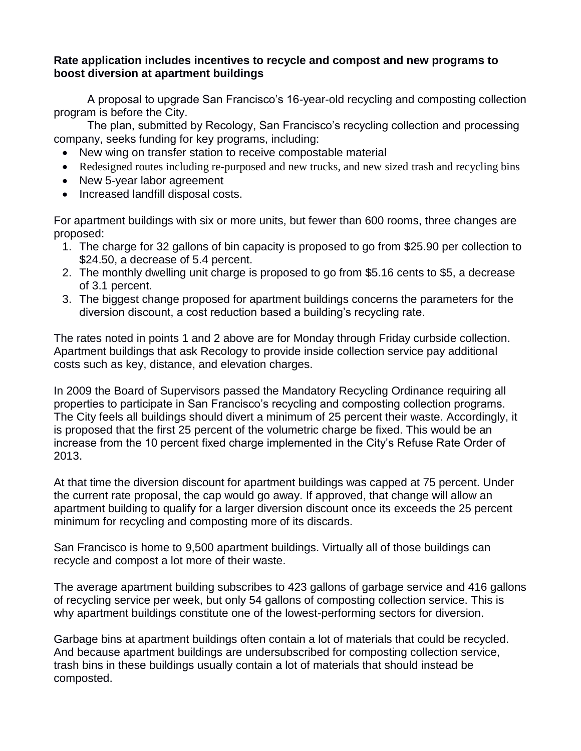## **Rate application includes incentives to recycle and compost and new programs to boost diversion at apartment buildings**

A proposal to upgrade San Francisco's 16-year-old recycling and composting collection program is before the City.

The plan, submitted by Recology, San Francisco's recycling collection and processing company, seeks funding for key programs, including:

- New wing on transfer station to receive compostable material
- Redesigned routes including re-purposed and new trucks, and new sized trash and recycling bins
- New 5-year labor agreement
- Increased landfill disposal costs.

For apartment buildings with six or more units, but fewer than 600 rooms, three changes are proposed:

- 1. The charge for 32 gallons of bin capacity is proposed to go from \$25.90 per collection to \$24.50, a decrease of 5.4 percent.
- 2. The monthly dwelling unit charge is proposed to go from \$5.16 cents to \$5, a decrease of 3.1 percent.
- 3. The biggest change proposed for apartment buildings concerns the parameters for the diversion discount, a cost reduction based a building's recycling rate.

The rates noted in points 1 and 2 above are for Monday through Friday curbside collection. Apartment buildings that ask Recology to provide inside collection service pay additional costs such as key, distance, and elevation charges.

In 2009 the Board of Supervisors passed the Mandatory Recycling Ordinance requiring all properties to participate in San Francisco's recycling and composting collection programs. The City feels all buildings should divert a minimum of 25 percent their waste. Accordingly, it is proposed that the first 25 percent of the volumetric charge be fixed. This would be an increase from the 10 percent fixed charge implemented in the City's Refuse Rate Order of 2013.

At that time the diversion discount for apartment buildings was capped at 75 percent. Under the current rate proposal, the cap would go away. If approved, that change will allow an apartment building to qualify for a larger diversion discount once its exceeds the 25 percent minimum for recycling and composting more of its discards.

San Francisco is home to 9,500 apartment buildings. Virtually all of those buildings can recycle and compost a lot more of their waste.

The average apartment building subscribes to 423 gallons of garbage service and 416 gallons of recycling service per week, but only 54 gallons of composting collection service. This is why apartment buildings constitute one of the lowest-performing sectors for diversion.

Garbage bins at apartment buildings often contain a lot of materials that could be recycled. And because apartment buildings are undersubscribed for composting collection service, trash bins in these buildings usually contain a lot of materials that should instead be composted.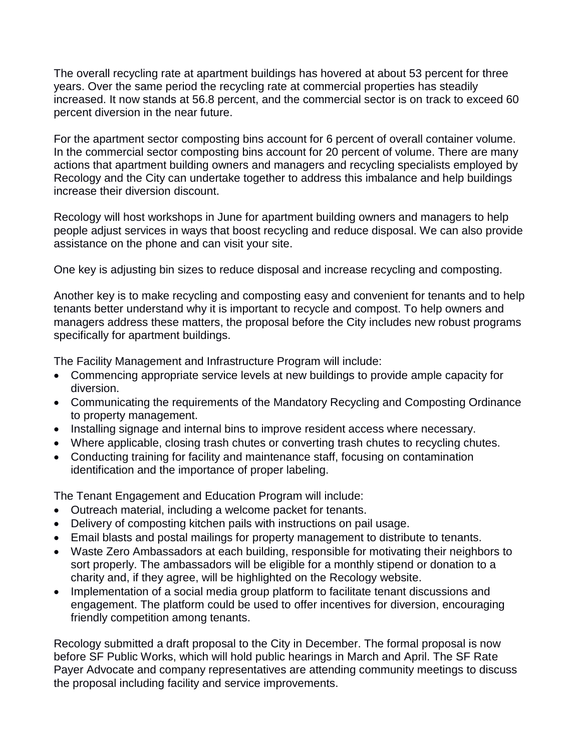The overall recycling rate at apartment buildings has hovered at about 53 percent for three years. Over the same period the recycling rate at commercial properties has steadily increased. It now stands at 56.8 percent, and the commercial sector is on track to exceed 60 percent diversion in the near future.

For the apartment sector composting bins account for 6 percent of overall container volume. In the commercial sector composting bins account for 20 percent of volume. There are many actions that apartment building owners and managers and recycling specialists employed by Recology and the City can undertake together to address this imbalance and help buildings increase their diversion discount.

Recology will host workshops in June for apartment building owners and managers to help people adjust services in ways that boost recycling and reduce disposal. We can also provide assistance on the phone and can visit your site.

One key is adjusting bin sizes to reduce disposal and increase recycling and composting.

Another key is to make recycling and composting easy and convenient for tenants and to help tenants better understand why it is important to recycle and compost. To help owners and managers address these matters, the proposal before the City includes new robust programs specifically for apartment buildings.

The Facility Management and Infrastructure Program will include:

- Commencing appropriate service levels at new buildings to provide ample capacity for diversion.
- Communicating the requirements of the Mandatory Recycling and Composting Ordinance to property management.
- Installing signage and internal bins to improve resident access where necessary.
- Where applicable, closing trash chutes or converting trash chutes to recycling chutes.
- Conducting training for facility and maintenance staff, focusing on contamination identification and the importance of proper labeling.

The Tenant Engagement and Education Program will include:

- Outreach material, including a welcome packet for tenants.
- Delivery of composting kitchen pails with instructions on pail usage.
- Email blasts and postal mailings for property management to distribute to tenants.
- Waste Zero Ambassadors at each building, responsible for motivating their neighbors to sort properly. The ambassadors will be eligible for a monthly stipend or donation to a charity and, if they agree, will be highlighted on the Recology website.
- Implementation of a social media group platform to facilitate tenant discussions and engagement. The platform could be used to offer incentives for diversion, encouraging friendly competition among tenants.

Recology submitted a draft proposal to the City in December. The formal proposal is now before SF Public Works, which will hold public hearings in March and April. The SF Rate Payer Advocate and company representatives are attending community meetings to discuss the proposal including facility and service improvements.